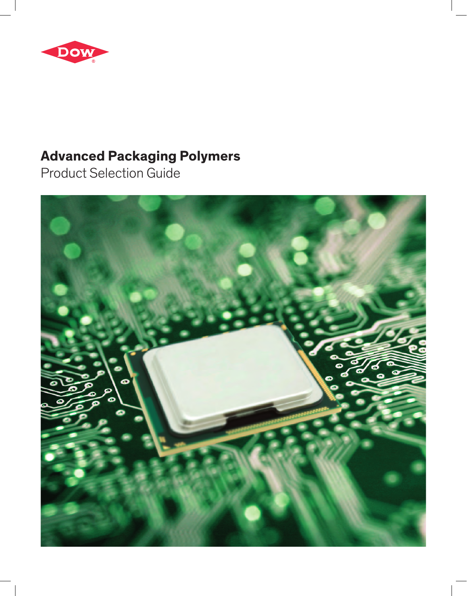

# **Advanced Packaging Polymers**

Product Selection Guide

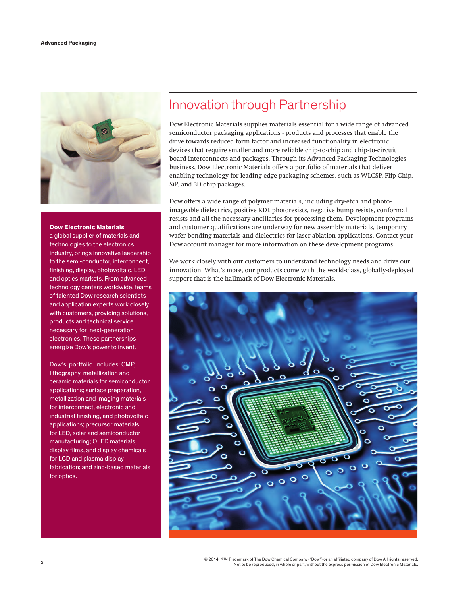

#### **Dow Electronic Materials**,

a global supplier of materials and technologies to the electronics industry, brings innovative leadership to the semi-conductor, interconnect, finishing, display, photovoltaic, LED and optics markets. From advanced technology centers worldwide, teams of talented Dow research scientists and application experts work closely with customers, providing solutions, products and technical service necessary for next-generation electronics. These partnerships energize Dow's power to invent.

Dow's portfolio includes: CMP, lithography, metallization and ceramic materials for semiconductor applications; surface preparation, metallization and imaging materials for interconnect, electronic and industrial finishing, and photovoltaic applications; precursor materials for LED, solar and semiconductor manufacturing; OLED materials, display films, and display chemicals for LCD and plasma display fabrication; and zinc-based materials for optics.

# Innovation through Partnership

Dow Electronic Materials supplies materials essential for a wide range of advanced semiconductor packaging applications - products and processes that enable the drive towards reduced form factor and increased functionality in electronic devices that require smaller and more reliable chip-to-chip and chip-to-circuit board interconnects and packages. Through its Advanced Packaging Technologies business, Dow Electronic Materials offers a portfolio of materials that deliver enabling technology for leading-edge packaging schemes, such as WLCSP, Flip Chip, SiP, and 3D chip packages.

Dow offers a wide range of polymer materials, including dry-etch and photoimageable dielectrics, positive RDL photoresists, negative bump resists, conformal resists and all the necessary ancillaries for processing them. Development programs and customer qualifications are underway for new assembly materials, temporary wafer bonding materials and dielectrics for laser ablation applications. Contact your Dow account manager for more information on these development programs.

We work closely with our customers to understand technology needs and drive our innovation. What's more, our products come with the world-class, globally-deployed support that is the hallmark of Dow Electronic Materials.

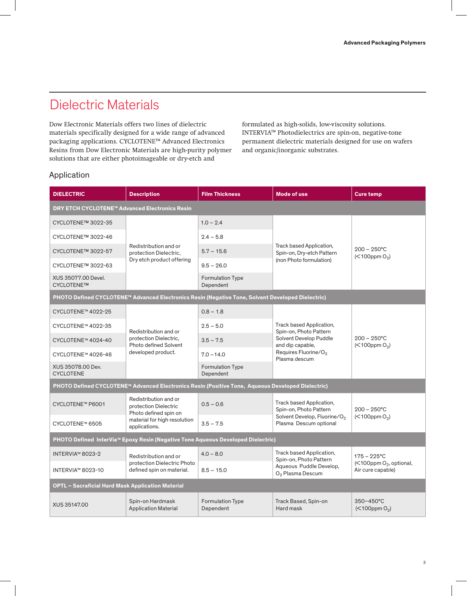# Dielectric Materials

Dow Electronic Materials offers two lines of dielectric materials specifically designed for a wide range of advanced packaging applications. CYCLOTENE™ Advanced Electronics Resins from Dow Electronic Materials are high-purity polymer solutions that are either photoimageable or dry-etch and

formulated as high-solids, low-viscosity solutions. INTERVIA™ Photodielectrics are spin-on, negative-tone permanent dielectric materials designed for use on wafers and organic/inorganic substrates.

### Application

| <b>DIELECTRIC</b>                                        | <b>Description</b>                                                      | <b>Film Thickness</b>                                                                             | <b>Mode of use</b>                                                 | <b>Cure temp</b>                                                     |  |
|----------------------------------------------------------|-------------------------------------------------------------------------|---------------------------------------------------------------------------------------------------|--------------------------------------------------------------------|----------------------------------------------------------------------|--|
| <b>DRY ETCH CYCLOTENE™ Advanced Electronics Resin</b>    |                                                                         |                                                                                                   |                                                                    |                                                                      |  |
| CYCLOTENE™ 3022-35                                       |                                                                         | $1.0 - 2.4$                                                                                       |                                                                    |                                                                      |  |
| CYCLOTENE™ 3022-46                                       |                                                                         | $2.4 - 5.8$                                                                                       |                                                                    |                                                                      |  |
| CYCLOTENE™ 3022-57                                       | Redistribution and or<br>protection Dielectric,                         | $5.7 - 15.6$                                                                                      | Track based Application,<br>Spin-on, Dry-etch Pattern              | $200 - 250^{\circ}$ C<br>$(< 100$ ppm $O2$ )                         |  |
| CYCLOTENE™ 3022-63                                       | Dry etch product offering                                               | $9.5 - 26.0$                                                                                      | (non Photo formulation)                                            |                                                                      |  |
| XUS 35077.00 Devel.<br>CYCLOTENE™                        |                                                                         | <b>Formulation Type</b><br>Dependent                                                              |                                                                    |                                                                      |  |
|                                                          |                                                                         | PHOTO Defined CYCLOTENE™ Advanced Electronics Resin (Negative Tone, Solvent Developed Dielectric) |                                                                    |                                                                      |  |
| CYCLOTENE™ 4022-25                                       |                                                                         | $0.8 - 1.8$                                                                                       |                                                                    |                                                                      |  |
| CYCLOTENE™ 4022-35                                       | Redistribution and or                                                   | $2.5 - 5.0$                                                                                       | Track based Application,<br>Spin-on, Photo Pattern                 | $200 - 250^{\circ}$ C<br>$(<$ 100ppm $O2$ )                          |  |
| CYCLOTENE™ 4024-40                                       | protection Dielectric,<br><b>Photo defined Solvent</b>                  | $3.5 - 7.5$                                                                                       | Solvent Develop Puddle<br>and dip capable,                         |                                                                      |  |
| CYCLOTENE™ 4026-46                                       | developed product.                                                      | $7.0 - 14.0$                                                                                      | Requires Fluorine/O <sub>2</sub><br>Plasma descum                  |                                                                      |  |
| XUS 35078.00 Dev.<br><b>CYCLOTENE</b>                    |                                                                         | <b>Formulation Type</b><br>Dependent                                                              |                                                                    |                                                                      |  |
|                                                          |                                                                         | PHOTO Defined CYCLOTENE™ Advanced Electronics Resin (Positive Tone, Aqueous Developed Dielectric) |                                                                    |                                                                      |  |
| CYCLOTENE™ P6001                                         | Redistribution and or<br>protection Dielectric<br>Photo defined spin on | $0.5 - 0.6$                                                                                       | Track based Application,<br>Spin-on, Photo Pattern                 | $200 - 250^{\circ}$ C                                                |  |
| CYCLOTENE™ 6505                                          | material for high resolution<br>applications.                           | $3.5 - 7.5$                                                                                       | Solvent Develop, Fluorine/O <sub>2</sub><br>Plasma Descum optional | $(< 100$ ppm O <sub>2</sub> )                                        |  |
|                                                          |                                                                         | PHOTO Defined InterVia™ Epoxy Resin (Negative Tone Aqueous Developed Dielectric)                  |                                                                    |                                                                      |  |
| INTERVIA™ 8023-2                                         | Redistribution and or                                                   | $4.0 - 8.0$                                                                                       | Track based Application,<br>Spin-on, Photo Pattern                 | $175 - 225^{\circ}$ C                                                |  |
| INTERVIA™ 8023-10                                        | protection Dielectric Photo<br>defined spin on material.                | $8.5 - 15.0$                                                                                      | Aqueous Puddle Develop,<br>O <sub>2</sub> Plasma Descum            | $\left(\leq 100$ ppm O <sub>2</sub> , optional,<br>Air cure capable) |  |
| <b>OPTL - Sacraficial Hard Mask Application Material</b> |                                                                         |                                                                                                   |                                                                    |                                                                      |  |
| XUS 35147.00                                             | Spin-on Hardmask<br><b>Application Material</b>                         | <b>Formulation Type</b><br>Dependent                                                              | Track Based, Spin-on<br>Hard mask                                  | 350-450°C<br>$(<$ 100ppm O <sub>2</sub> )                            |  |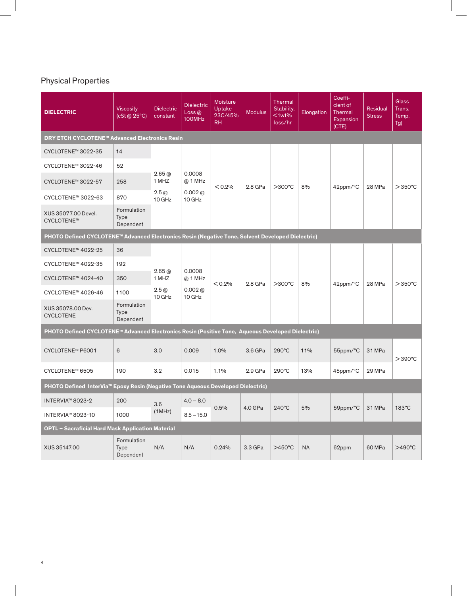# Physical Properties

| <b>DIELECTRIC</b>                                                                                 | <b>Viscosity</b><br>(cSt @ 25°C)        | <b>Dielectric</b><br>constant | <b>Dielectric</b><br>Loss@<br>100MHz       | <b>Moisture</b><br>Uptake<br>23C/45%<br>RH | <b>Modulus</b> | <b>Thermal</b><br>Stability,<br>$lt$ 1wt%<br>loss/hr | Elongation | Coeffi-<br>cient of<br>Thermal<br>Expansion<br>(CTE) | <b>Residual</b><br><b>Stress</b> | <b>Glass</b><br>Trans.<br>Temp.<br>Tg) |  |  |  |  |  |  |  |
|---------------------------------------------------------------------------------------------------|-----------------------------------------|-------------------------------|--------------------------------------------|--------------------------------------------|----------------|------------------------------------------------------|------------|------------------------------------------------------|----------------------------------|----------------------------------------|--|--|--|--|--|--|--|
| <b>DRY ETCH CYCLOTENE™ Advanced Electronics Resin</b>                                             |                                         |                               |                                            |                                            |                |                                                      |            |                                                      |                                  |                                        |  |  |  |  |  |  |  |
| CYCLOTENE™ 3022-35                                                                                | 14                                      |                               |                                            |                                            |                |                                                      |            |                                                      |                                  |                                        |  |  |  |  |  |  |  |
| CYCLOTENE™ 3022-46                                                                                | 52                                      |                               |                                            |                                            |                |                                                      |            |                                                      |                                  |                                        |  |  |  |  |  |  |  |
| CYCLOTENE™ 3022-57                                                                                | 258                                     | 2.65@<br>1 MHZ                | 0.0008<br>@ 1 MHz                          | < 0.2%                                     | 2.8 GPa        | $>300^{\circ}$ C                                     | 8%         | 42ppm/°C                                             | 28 MPa                           | $>350^{\circ}$ C                       |  |  |  |  |  |  |  |
| CYCLOTENE™ 3022-63                                                                                | 870                                     | 2.5@<br>10 GHz                | 0.002@<br>$10$ GHz                         |                                            |                |                                                      |            |                                                      |                                  |                                        |  |  |  |  |  |  |  |
| XUS 35077.00 Devel.<br>CYCLOTENE™                                                                 | Formulation<br>Type<br>Dependent        |                               |                                            |                                            |                |                                                      |            |                                                      |                                  |                                        |  |  |  |  |  |  |  |
| PHOTO Defined CYCLOTENE™ Advanced Electronics Resin (Negative Tone, Solvent Developed Dielectric) |                                         |                               |                                            |                                            |                |                                                      |            |                                                      |                                  |                                        |  |  |  |  |  |  |  |
| CYCLOTENE™ 4022-25                                                                                | 36                                      |                               |                                            |                                            |                |                                                      |            |                                                      |                                  |                                        |  |  |  |  |  |  |  |
| CYCLOTENE™ 4022-35                                                                                | 192                                     |                               | 0.0008<br>@ 1 MHz<br>$0.002$ @<br>$10$ GHz | $< 0.2\%$                                  | 2.8 GPa        | $>300^{\circ}$ C                                     | 8%         | 42ppm/°C                                             | 28 MPa                           | $>$ 350 $^{\circ}$ C                   |  |  |  |  |  |  |  |
| CYCLOTENE™ 4024-40                                                                                | 350                                     | 2.65@<br>1 MHZ                |                                            |                                            |                |                                                      |            |                                                      |                                  |                                        |  |  |  |  |  |  |  |
| CYCLOTENE™ 4026-46                                                                                | 1100                                    | 2.5@<br>10 GHz                |                                            |                                            |                |                                                      |            |                                                      |                                  |                                        |  |  |  |  |  |  |  |
| XUS 35078.00 Dev.<br><b>CYCLOTENE</b>                                                             | Formulation<br><b>Type</b><br>Dependent |                               |                                            |                                            |                |                                                      |            |                                                      |                                  |                                        |  |  |  |  |  |  |  |
| PHOTO Defined CYCLOTENE™ Advanced Electronics Resin (Positive Tone, Aqueous Developed Dielectric) |                                         |                               |                                            |                                            |                |                                                      |            |                                                      |                                  |                                        |  |  |  |  |  |  |  |
| CYCLOTENE™ P6001                                                                                  | 6                                       | 3.0                           | 0.009                                      | 1.0%                                       | 3.6 GPa        | 290°C                                                | 11%        | 55ppm/°C                                             | 31 MPa                           | $>$ 390 $^{\circ}$ C                   |  |  |  |  |  |  |  |
| CYCLOTENE™ 6505                                                                                   | 190                                     | 3.2                           | 0.015                                      | 1.1%                                       | 2.9 GPa        | 290°C                                                | 13%        | 45ppm/°C                                             | 29 MPa                           |                                        |  |  |  |  |  |  |  |
| PHOTO Defined InterVia™ Epoxy Resin (Negative Tone Aqueous Developed Dielectric)                  |                                         |                               |                                            |                                            |                |                                                      |            |                                                      |                                  |                                        |  |  |  |  |  |  |  |
| INTERVIA™ 8023-2                                                                                  | 200                                     | 3.6                           | $4.0 - 8.0$                                |                                            |                |                                                      |            |                                                      |                                  |                                        |  |  |  |  |  |  |  |
| INTERVIA™ 8023-10                                                                                 | 1000                                    | (1MHz)                        | $8.5 - 15.0$                               | 0.5%                                       | 4.0 GPa        | $240^{\circ}$ C                                      | 5%         | 59ppm/°C                                             | 31 MPa                           | 183°C                                  |  |  |  |  |  |  |  |
| OPTL - Sacraficial Hard Mask Application Material                                                 |                                         |                               |                                            |                                            |                |                                                      |            |                                                      |                                  |                                        |  |  |  |  |  |  |  |
| XUS 35147.00                                                                                      | Formulation<br><b>Type</b><br>Dependent | N/A                           | N/A                                        | 0.24%                                      | 3.3 GPa        | $>450^{\circ}$ C                                     | <b>NA</b>  | 62ppm                                                | 60 MPa                           | >490°C                                 |  |  |  |  |  |  |  |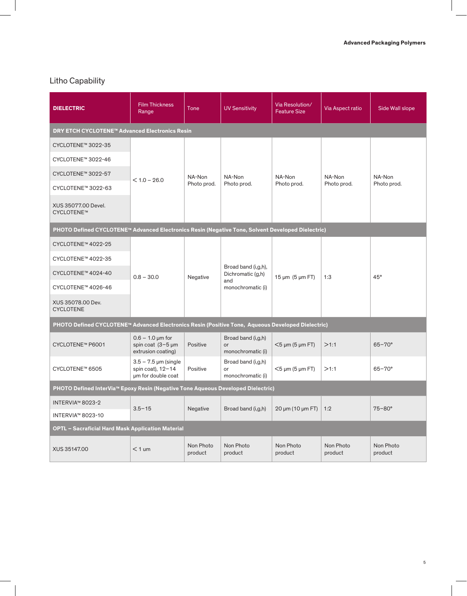## Litho Capability

| <b>DIELECTRIC</b>                                                                                 | <b>Film Thickness</b><br>Range                                         | Tone                 | <b>UV Sensitivity</b>                         | Via Resolution/<br><b>Feature Size</b> | Via Aspect ratio     | Side Wall slope      |  |  |
|---------------------------------------------------------------------------------------------------|------------------------------------------------------------------------|----------------------|-----------------------------------------------|----------------------------------------|----------------------|----------------------|--|--|
| <b>DRY ETCH CYCLOTENE™ Advanced Electronics Resin</b>                                             |                                                                        |                      |                                               |                                        |                      |                      |  |  |
| CYCLOTENE™ 3022-35                                                                                |                                                                        |                      |                                               |                                        |                      |                      |  |  |
| CYCLOTENE™ 3022-46                                                                                |                                                                        |                      |                                               |                                        |                      |                      |  |  |
| CYCLOTENE™ 3022-57                                                                                |                                                                        | NA-Non               | NA-Non                                        | NA-Non                                 | NA-Non               | NA-Non               |  |  |
| CYCLOTENE™ 3022-63                                                                                | $< 1.0 - 26.0$<br>Photo prod.                                          |                      | Photo prod.                                   | Photo prod.                            | Photo prod.          | Photo prod.          |  |  |
| XUS 35077.00 Devel.<br>CYCLOTENE™                                                                 |                                                                        |                      |                                               |                                        |                      |                      |  |  |
| PHOTO Defined CYCLOTENE™ Advanced Electronics Resin (Negative Tone, Solvent Developed Dielectric) |                                                                        |                      |                                               |                                        |                      |                      |  |  |
| CYCLOTENE™ 4022-25                                                                                |                                                                        |                      | Broad band (i,g,h),<br>Dichromatic (g,h)      | $15 \mu m$ (5 $\mu m$ FT)              | 1:3                  | 45°                  |  |  |
| CYCLOTENE™ 4022-35                                                                                |                                                                        | Negative             |                                               |                                        |                      |                      |  |  |
| CYCLOTENE™ 4024-40                                                                                | $0.8 - 30.0$                                                           |                      |                                               |                                        |                      |                      |  |  |
| CYCLOTENE™ 4026-46                                                                                |                                                                        |                      | and<br>monochromatic (i)                      |                                        |                      |                      |  |  |
| XUS 35078.00 Dev.<br><b>CYCLOTENE</b>                                                             |                                                                        |                      |                                               |                                        |                      |                      |  |  |
| PHOTO Defined CYCLOTENE™ Advanced Electronics Resin (Positive Tone, Aqueous Developed Dielectric) |                                                                        |                      |                                               |                                        |                      |                      |  |  |
| CYCLOTENE™ P6001                                                                                  | $0.6 - 1.0 \mu m$ for<br>spin coat $(3-5 \mu m)$<br>extrusion coating) | Positive             | Broad band (i,g,h)<br>or<br>monochromatic (i) | $<$ 5 µm (5 µm FT)                     | >1:1                 | $65 - 70^{\circ}$    |  |  |
| CYCLOTENE™ 6505                                                                                   | $3.5 - 7.5$ µm (single<br>spin coat), $12-14$<br>um for double coat    | Positive             | Broad band (i,g,h)<br>or<br>monochromatic (i) | $<$ 5 µm (5 µm FT)                     | >1:1                 | $65 - 70^{\circ}$    |  |  |
| PHOTO Defined InterVia™ Epoxy Resin (Negative Tone Aqueous Developed Dielectric)                  |                                                                        |                      |                                               |                                        |                      |                      |  |  |
| INTERVIA™ 8023-2                                                                                  | $3.5 - 15$                                                             | Negative             | Broad band (i,g,h)                            | 20 µm (10 µm FT)                       | 1:2                  | $75 - 80^\circ$      |  |  |
| INTERVIA™ 8023-10                                                                                 |                                                                        |                      |                                               |                                        |                      |                      |  |  |
| <b>OPTL - Sacraficial Hard Mask Application Material</b>                                          |                                                                        |                      |                                               |                                        |                      |                      |  |  |
| XUS 35147.00                                                                                      | $< 1$ um                                                               | Non Photo<br>product | Non Photo<br>product                          | Non Photo<br>product                   | Non Photo<br>product | Non Photo<br>product |  |  |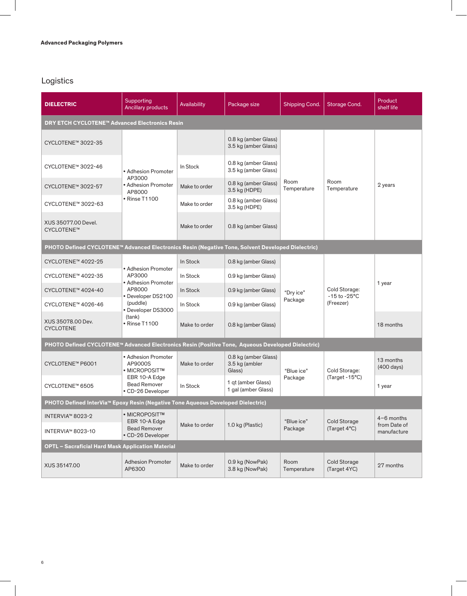# Logistics

| <b>DIELECTRIC</b>                                                                                 | Supporting<br><b>Ancillary products</b>                                     | Availability<br>Package size |                                                  | Shipping Cond.        | Storage Cond.                              | Product<br>shelf life                       |
|---------------------------------------------------------------------------------------------------|-----------------------------------------------------------------------------|------------------------------|--------------------------------------------------|-----------------------|--------------------------------------------|---------------------------------------------|
| <b>DRY ETCH CYCLOTENE™ Advanced Electronics Resin</b>                                             |                                                                             |                              |                                                  |                       |                                            |                                             |
| CYCLOTENE™ 3022-35                                                                                |                                                                             |                              | 0.8 kg (amber Glass)<br>3.5 kg (amber Glass)     |                       |                                            |                                             |
| CYCLOTENE™ 3022-46                                                                                | • Adhesion Promoter                                                         | In Stock                     | 0.8 kg (amber Glass)<br>3.5 kg (amber Glass)     |                       |                                            |                                             |
| CYCLOTENE™ 3022-57                                                                                | AP3000<br>• Adhesion Promoter<br>AP8000                                     | Make to order                | 0.8 kg (amber Glass)<br>3.5 kg (HDPE)            | Room<br>Temperature   | Room<br>Temperature                        | 2 years                                     |
| CYCLOTENE™ 3022-63                                                                                | • Rinse T1100                                                               | Make to order                | 0.8 kg (amber Glass)<br>3.5 kg (HDPE)            |                       |                                            |                                             |
| XUS 35077.00 Devel.<br>CYCLOTENE™                                                                 |                                                                             | Make to order                | 0.8 kg (amber Glass)                             |                       |                                            |                                             |
| PHOTO Defined CYCLOTENE™ Advanced Electronics Resin (Negative Tone, Solvent Developed Dielectric) |                                                                             |                              |                                                  |                       |                                            |                                             |
| CYCLOTENE™ 4022-25                                                                                |                                                                             | In Stock                     | 0.8 kg (amber Glass)                             |                       | Cold Storage:<br>-15 to -25°C<br>(Freezer) | 1 year                                      |
| CYCLOTENE™ 4022-35                                                                                | • Adhesion Promoter<br>AP3000                                               | In Stock                     | 0.9 kg (amber Glass)                             | "Drv ice"<br>Package  |                                            |                                             |
| CYCLOTENE™ 4024-40                                                                                | • Adhesion Promoter<br>AP8000<br>• Developer DS2100                         | In Stock                     | 0.9 kg (amber Glass)                             |                       |                                            |                                             |
| CYCLOTENE™ 4026-46                                                                                | (puddle)<br>• Developer DS3000                                              | In Stock                     | 0.9 kg (amber Glass)                             |                       |                                            |                                             |
| XUS 35078.00 Dev.<br><b>CYCLOTENE</b>                                                             | (tank)<br>• Rinse T1100                                                     | Make to order                | 0.8 kg (amber Glass)                             |                       |                                            | 18 months                                   |
| PHOTO Defined CYCLOTENE™ Advanced Electronics Resin (Positive Tone, Aqueous Developed Dielectric) |                                                                             |                              |                                                  |                       |                                            |                                             |
| CYCLOTENE™ P6001                                                                                  | • Adhesion Promoter<br>AP9000S<br>• MICROPOSIT™                             | Make to order                | 0.8 kg (amber Glass)<br>3.5 kg (ambler<br>Glass) | "Blue ice"            | Cold Storage:                              | 13 months<br>$(400 \text{ days})$           |
| CYCLOTENE™ 6505                                                                                   | EBR 10-A Edge<br><b>Bead Remover</b><br>• CD-26 Developer                   | In Stock                     | 1 qt (amber Glass)<br>1 gal (amber Glass)        | Package               | (Target - 15°C)                            | 1 year                                      |
| PHOTO Defined InterVia™ Epoxy Resin (Negative Tone Aqueous Developed Dielectric)                  |                                                                             |                              |                                                  |                       |                                            |                                             |
| INTERVIA™ 8023-2<br>INTERVIA™ 8023-10                                                             | • MICROPOSITTM<br>EBR 10-A Edge<br><b>Bead Remover</b><br>• CD-26 Developer | Make to order                | 1.0 kg (Plastic)                                 | "Blue ice"<br>Package | Cold Storage<br>(Target 4°C)               | $4-6$ months<br>from Date of<br>manufacture |
| <b>OPTL - Sacraficial Hard Mask Application Material</b>                                          |                                                                             |                              |                                                  |                       |                                            |                                             |
| XUS 35147.00                                                                                      | <b>Adhesion Promoter</b><br>AP6300                                          | Make to order                | 0.9 kg (NowPak)<br>3.8 kg (NowPak)               | Room<br>Temperature   | Cold Storage<br>(Target 4YC)               | 27 months                                   |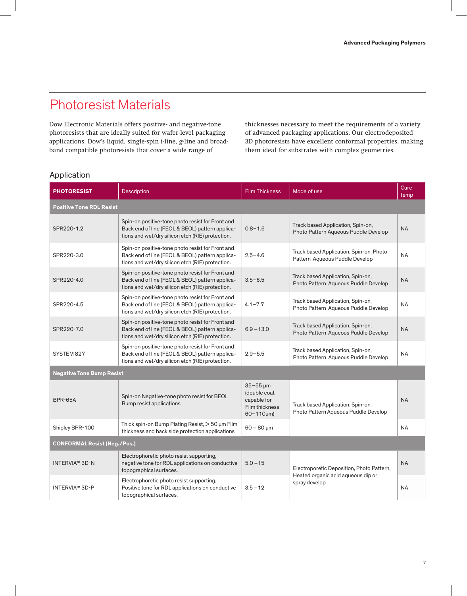# Photoresist Materials

Dow Electronic Materials offers positive- and negative-tone photoresists that are ideally suited for wafer-level packaging applications. Dow's liquid, single-spin i-line, g-line and broadband compatible photoresists that cover a wide range of

thicknesses necessary to meet the requirements of a variety of advanced packaging applications. Our electrodeposited 3D photoresists have excellent conformal properties, making them ideal for substrates with complex geometries.

### Application

| <b>PHOTORESIST</b>                  | <b>Description</b>                                                                                                                                      | <b>Film Thickness</b>                                                                         | Mode of use                                                               | Cure<br>temp |
|-------------------------------------|---------------------------------------------------------------------------------------------------------------------------------------------------------|-----------------------------------------------------------------------------------------------|---------------------------------------------------------------------------|--------------|
| <b>Positive Tone RDL Resist</b>     |                                                                                                                                                         |                                                                                               |                                                                           |              |
| SPR220-1.2                          | Spin-on positive-tone photo resist for Front and<br>Back end of line (FEOL & BEOL) pattern applica-<br>tions and wet/dry silicon etch (RIE) protection. | $0.8 - 1.6$                                                                                   | Track based Application, Spin-on,<br>Photo Pattern Aqueous Puddle Develop | <b>NA</b>    |
| SPR220-3.0                          | Spin-on positive-tone photo resist for Front and<br>Back end of line (FEOL & BEOL) pattern applica-<br>tions and wet/dry silicon etch (RIE) protection. | $2.5 - 4.6$                                                                                   | Track based Application, Spin-on, Photo<br>Pattern Aqueous Puddle Develop | <b>NA</b>    |
| SPR220-4.0                          | Spin-on positive-tone photo resist for Front and<br>Back end of line (FEOL & BEOL) pattern applica-<br>tions and wet/dry silicon etch (RIE) protection. | $3.5 - 6.5$                                                                                   | Track based Application, Spin-on,<br>Photo Pattern Aqueous Puddle Develop | <b>NA</b>    |
| SPR220-4.5                          | Spin-on positive-tone photo resist for Front and<br>Back end of line (FEOL & BEOL) pattern applica-<br>tions and wet/dry silicon etch (RIE) protection. | $4.1 - 7.7$                                                                                   | Track based Application, Spin-on,<br>Photo Pattern Aqueous Puddle Develop | <b>NA</b>    |
| SPR220-7.0                          | Spin-on positive-tone photo resist for Front and<br>Back end of line (FEOL & BEOL) pattern applica-<br>tions and wet/dry silicon etch (RIE) protection. | $6.9 - 13.0$                                                                                  | Track based Application, Spin-on,<br>Photo Pattern Aqueous Puddle Develop | <b>NA</b>    |
| SYSTEM 827                          | Spin-on positive-tone photo resist for Front and<br>Back end of line (FEOL & BEOL) pattern applica-<br>tions and wet/dry silicon etch (RIE) protection. | $2.9 - 5.5$                                                                                   | Track based Application, Spin-on,<br>Photo Pattern Aqueous Puddle Develop | <b>NA</b>    |
| <b>Negative Tone Bump Resist</b>    |                                                                                                                                                         |                                                                                               |                                                                           |              |
| <b>BPR-65A</b>                      | Spin-on Negative-tone photo resist for BEOL<br>Bump resist applications.                                                                                | $35 - 55 \,\mu m$<br>(double coat<br>capable for<br><b>Film thickness</b><br>$60 - 110 \mu m$ | Track based Application, Spin-on,<br>Photo Pattern Aqueous Puddle Develop | <b>NA</b>    |
| Shipley BPR-100                     | Thick spin-on Bump Plating Resist, > 50 µm Film<br>thickness and back side protection applications                                                      | $60 - 80 \mu m$                                                                               |                                                                           | <b>NA</b>    |
| <b>CONFORMAL Resist (Neg./Pos.)</b> |                                                                                                                                                         |                                                                                               |                                                                           |              |
| <b>INTERVIA™ 3D-N</b>               | Electrophoretic photo resist supporting,<br>negative tone for RDL applications on conductive<br>topographical surfaces.                                 | $5.0 - 15$                                                                                    | Electroporetic Deposition, Photo Pattern,                                 | <b>NA</b>    |
| <b>INTERVIA™ 3D-P</b>               | Electrophoretic photo resist supporting,<br>Positive tone for RDL applications on conductive<br>topographical surfaces.                                 | $3.5 - 12$                                                                                    | Heated organic acid aqueous dip or<br>spray develop                       | <b>NA</b>    |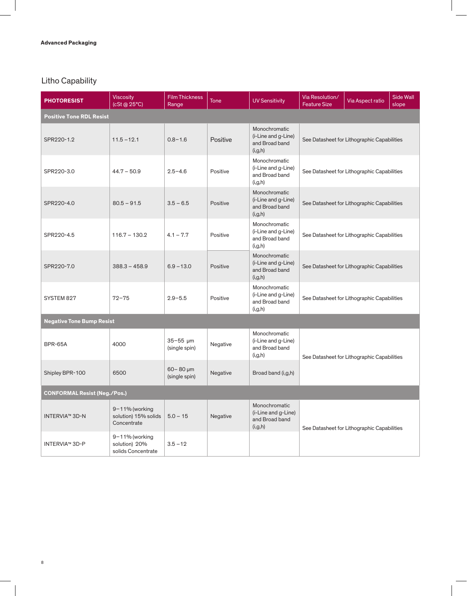## Litho Capability

| <b>PHOTORESIST</b>                  | <b>Viscosity</b><br>(cSt @ 25°C)                          | <b>Film Thickness</b><br>Range   | <b>Tone</b> | <b>UV Sensitivity</b>                                               | Via Resolution/<br><b>Feature Size</b> | Via Aspect ratio                            | <b>Side Wall</b><br>slope |
|-------------------------------------|-----------------------------------------------------------|----------------------------------|-------------|---------------------------------------------------------------------|----------------------------------------|---------------------------------------------|---------------------------|
| <b>Positive Tone RDL Resist</b>     |                                                           |                                  |             |                                                                     |                                        |                                             |                           |
| SPR220-1.2                          | $11.5 - 12.1$                                             | $0.8 - 1.6$                      | Positive    | Monochromatic<br>(i-Line and g-Line)<br>and Broad band<br>(i,g,h)   |                                        | See Datasheet for Lithographic Capabilities |                           |
| SPR220-3.0                          | $44.7 - 50.9$                                             | $2.5 - 4.6$                      | Positive    | Monochromatic<br>(i-Line and g-Line)<br>and Broad band<br>(i, g, h) |                                        | See Datasheet for Lithographic Capabilities |                           |
| SPR220-4.0                          | $80.5 - 91.5$                                             | $3.5 - 6.5$                      | Positive    | Monochromatic<br>(i-Line and g-Line)<br>and Broad band<br>(i, g, h) |                                        | See Datasheet for Lithographic Capabilities |                           |
| SPR220-4.5                          | $116.7 - 130.2$                                           | $4.1 - 7.7$                      | Positive    | Monochromatic<br>(i-Line and g-Line)<br>and Broad band<br>(i,g,h)   |                                        | See Datasheet for Lithographic Capabilities |                           |
| SPR220-7.0                          | $388.3 - 458.9$                                           | $6.9 - 13.0$                     | Positive    | Monochromatic<br>(i-Line and g-Line)<br>and Broad band<br>(i, g, h) |                                        | See Datasheet for Lithographic Capabilities |                           |
| SYSTEM 827                          | $72 - 75$                                                 | $2.9 - 5.5$                      | Positive    | Monochromatic<br>(i-Line and g-Line)<br>and Broad band<br>(i, g, h) |                                        | See Datasheet for Lithographic Capabilities |                           |
| <b>Negative Tone Bump Resist</b>    |                                                           |                                  |             |                                                                     |                                        |                                             |                           |
| BPR-65A                             | 4000                                                      | $35 - 55$ µm<br>(single spin)    | Negative    | Monochromatic<br>(i-Line and g-Line)<br>and Broad band<br>(i, g, h) |                                        | See Datasheet for Lithographic Capabilities |                           |
| Shipley BPR-100                     | 6500                                                      | $60 - 80 \mu m$<br>(single spin) | Negative    | Broad band (i,g,h)                                                  |                                        |                                             |                           |
| <b>CONFORMAL Resist (Neg./Pos.)</b> |                                                           |                                  |             |                                                                     |                                        |                                             |                           |
| <b>INTERVIA™ 3D-N</b>               | $9 - 11%$ (working<br>solution) 15% solids<br>Concentrate | $5.0 - 15$                       | Negative    | Monochromatic<br>(i-Line and g-Line)<br>and Broad band<br>(i, g, h) |                                        | See Datasheet for Lithographic Capabilities |                           |
| <b>INTERVIA™ 3D-P</b>               | 9-11% (working<br>solution) 20%<br>solids Concentrate     | $3.5 - 12$                       |             |                                                                     |                                        |                                             |                           |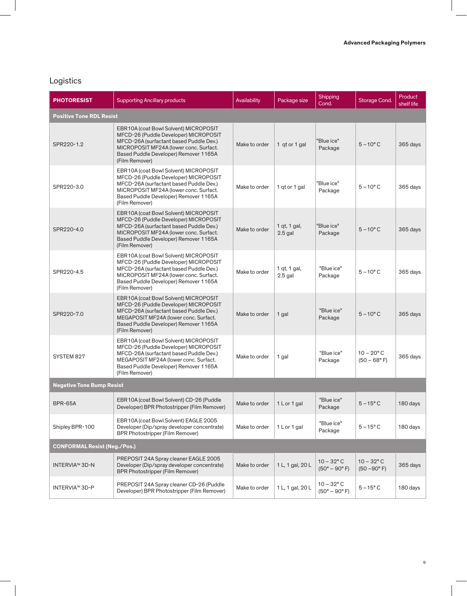# Logistics

| <b>PHOTORESIST</b>                  | <b>Supporting Ancillary products</b>                                                                                                                                                                                           | Availability  | Package size              | Shipping<br>Cond.                             | Storage Cond.                         | Product<br>shelf life |
|-------------------------------------|--------------------------------------------------------------------------------------------------------------------------------------------------------------------------------------------------------------------------------|---------------|---------------------------|-----------------------------------------------|---------------------------------------|-----------------------|
| <b>Positive Tone RDL Resist</b>     |                                                                                                                                                                                                                                |               |                           |                                               |                                       |                       |
| SPR220-1.2                          | EBR10A (coat Bowl Solvent) MICROPOSIT<br>MFCD-26 (Puddle Developer) MICROPOSIT<br>MFCD-26A (surfactant based Puddle Dev.)<br>MICROPOSIT MF24A (lower conc. Surfact.<br>Based Puddle Developer) Remover 1165A<br>(Film Remover) | Make to order | 1 qt or 1 gal             | "Blue ice"<br>Package                         | $5 - 10^{\circ}$ C                    | 365 days              |
| SPR220-3.0                          | EBR10A (coat Bowl Solvent) MICROPOSIT<br>MFCD-26 (Puddle Developer) MICROPOSIT<br>MFCD-26A (surfactant based Puddle Dev.)<br>MICROPOSIT MF24A (lower conc. Surfact.<br>Based Puddle Developer) Remover 1165A<br>(Film Remover) | Make to order | 1 qt or 1 gal             | "Blue ice"<br>Package                         | $5 - 10^{\circ}$ C                    | 365 days              |
| SPR220-4.0                          | EBR10A (coat Bowl Solvent) MICROPOSIT<br>MFCD-26 (Puddle Developer) MICROPOSIT<br>MFCD-26A (surfactant based Puddle Dev.)<br>MICROPOSIT MF24A (lower conc. Surfact.<br>Based Puddle Developer) Remover 1165A<br>(Film Remover) | Make to order | 1 qt, 1 gal,<br>$2.5$ gal | "Blue ice"<br>Package                         | $5 - 10^{\circ}$ C                    | 365 days              |
| SPR220-4.5                          | EBR10A (coat Bowl Solvent) MICROPOSIT<br>MFCD-26 (Puddle Developer) MICROPOSIT<br>MFCD-26A (surfactant based Puddle Dev.)<br>MICROPOSIT MF24A (lower conc. Surfact.<br>Based Puddle Developer) Remover 1165A<br>(Film Remover) | Make to order | 1 qt, 1 gal,<br>$2.5$ gal | "Blue ice"<br>Package                         | $5 - 10^{\circ}$ C                    | 365 days              |
| SPR220-7.0                          | EBR10A (coat Bowl Solvent) MICROPOSIT<br>MFCD-26 (Puddle Developer) MICROPOSIT<br>MFCD-26A (surfactant based Puddle Dev.)<br>MEGAPOSIT MF24A (lower conc. Surfact.<br>Based Puddle Developer) Remover 1165A<br>(Film Remover)  | Make to order | 1 gal                     | "Blue ice"<br>Package                         | $5 - 10^{\circ}$ C                    | 365 days              |
| SYSTEM 827                          | EBR10A (coat Bowl Solvent) MICROPOSIT<br>MFCD-26 (Puddle Developer) MICROPOSIT<br>MFCD-26A (surfactant based Puddle Dev.)<br>MEGAPOSIT MF24A (lower conc. Surfact.<br>Based Puddle Developer) Remover 1165A<br>(Film Remover)  | Make to order | 1 gal                     | "Blue ice"<br>Package                         | $10 - 20^{\circ}$ C<br>$(50 - 68$ °F) | 365 days              |
| <b>Negative Tone Bump Resist</b>    |                                                                                                                                                                                                                                |               |                           |                                               |                                       |                       |
| BPR-65A                             | EBR10A (coat Bowl Solvent) CD-26 (Puddle<br>Developer) BPR Photostripper (Film Remover)                                                                                                                                        | Make to order | 1 L or 1 gal              | "Blue ice"<br>Package                         | $5 - 15^{\circ}$ C                    | 180 days              |
| Shipley BPR-100                     | EBR10A (coat Bowl Solvent) EAGLE 2005<br>Developer (Dip/spray developer concentrate)<br><b>BPR Photostripper (Film Remover)</b>                                                                                                | Make to order | 1 L or 1 gal              | "Blue ice"<br>Package                         | $5 - 15^{\circ}$ C                    | 180 days              |
| <b>CONFORMAL Resist (Neg./Pos.)</b> |                                                                                                                                                                                                                                |               |                           |                                               |                                       |                       |
| <b>INTERVIA™ 3D-N</b>               | PREPOSIT 24A Spray cleaner EAGLE 2005<br>Developer (Dip/spray developer concentrate)<br><b>BPR Photostripper (Film Remover)</b>                                                                                                | Make to order | 1 L, 1 gal, 20 L          | $10 - 32$ °C<br>$(50^{\circ} - 90^{\circ} F)$ | $10 - 32$ °C<br>$(50 - 90^{\circ} F)$ | 365 days              |
| <b>INTERVIA™ 3D-P</b>               | PREPOSIT 24A Spray cleaner CD-26 (Puddle<br>Developer) BPR Photostripper (Film Remover)                                                                                                                                        | Make to order | 1 L, 1 gal, 20 L          | $10 - 32$ °C<br>$(50^{\circ} - 90^{\circ} F)$ | $5 - 15$ °C                           | 180 days              |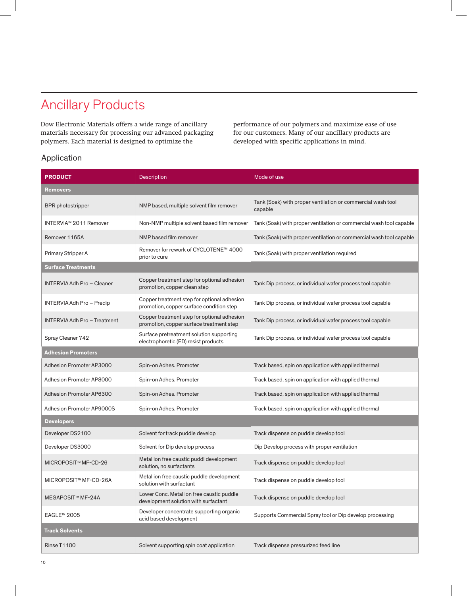# Ancillary Products

Dow Electronic Materials offers a wide range of ancillary materials necessary for processing our advanced packaging polymers. Each material is designed to optimize the

performance of our polymers and maximize ease of use for our customers. Many of our ancillary products are developed with specific applications in mind.

### Application

| <b>PRODUCT</b>                      | <b>Description</b>                                                                      | Mode of use                                                            |
|-------------------------------------|-----------------------------------------------------------------------------------------|------------------------------------------------------------------------|
| Removers                            |                                                                                         |                                                                        |
| <b>BPR</b> photostripper            | NMP based, multiple solvent film remover                                                | Tank (Soak) with proper ventilation or commercial wash tool<br>capable |
| INTERVIA™ 2011 Remover              | Non-NMP multiple solvent based film remover                                             | Tank (Soak) with proper ventilation or commercial wash tool capable    |
| Remover 1165A                       | NMP based film remover                                                                  | Tank (Soak) with proper ventilation or commercial wash tool capable    |
| Primary Stripper A                  | Remover for rework of CYCLOTENE™ 4000<br>prior to cure                                  | Tank (Soak) with proper ventilation required                           |
| <b>Surface Treatments</b>           |                                                                                         |                                                                        |
| <b>INTERVIA Adh Pro - Cleaner</b>   | Copper treatment step for optional adhesion<br>promotion, copper clean step             | Tank Dip process, or individual wafer process tool capable             |
| INTERVIA Adh Pro - Predip           | Copper treatment step for optional adhesion<br>promotion, copper surface condition step | Tank Dip process, or individual wafer process tool capable             |
| <b>INTERVIA Adh Pro - Treatment</b> | Copper treatment step for optional adhesion<br>promotion, copper surface treatment step | Tank Dip process, or individual wafer process tool capable             |
| Spray Cleaner 742                   | Surface pretreatment solution supporting<br>electrophoretic (ED) resist products        | Tank Dip process, or individual wafer process tool capable             |
| <b>Adhesion Promoters</b>           |                                                                                         |                                                                        |
| Adhesion Promoter AP3000            | Spin-on Adhes. Promoter                                                                 | Track based, spin on application with applied thermal                  |
| Adhesion Promoter AP8000            | Spin-on Adhes. Promoter                                                                 | Track based, spin on application with applied thermal                  |
| Adhesion Promoter AP6300            | Spin-on Adhes. Promoter                                                                 | Track based, spin on application with applied thermal                  |
| Adhesion Promoter AP9000S           | Spin-on Adhes. Promoter                                                                 | Track based, spin on application with applied thermal                  |
| <b>Developers</b>                   |                                                                                         |                                                                        |
| Developer DS2100                    | Solvent for track puddle develop                                                        | Track dispense on puddle develop tool                                  |
| Developer DS3000                    | Solvent for Dip develop process                                                         | Dip Develop process with proper ventilation                            |
| MICROPOSIT™ MF-CD-26                | Metal ion free caustic puddl development<br>solution, no surfactants                    | Track dispense on puddle develop tool                                  |
| MICROPOSIT™ MF-CD-26A               | Metal ion free caustic puddle development<br>solution with surfactant                   | Track dispense on puddle develop tool                                  |
| MEGAPOSIT™ MF-24A                   | Lower Conc. Metal ion free caustic puddle<br>development solution with surfactant       | Track dispense on puddle develop tool                                  |
| EAGLE™ 2005                         | Developer concentrate supporting organic<br>acid based development                      | Supports Commercial Spray tool or Dip develop processing               |
| <b>Track Solvents</b>               |                                                                                         |                                                                        |
| Rinse T1100                         | Solvent supporting spin coat application                                                | Track dispense pressurized feed line                                   |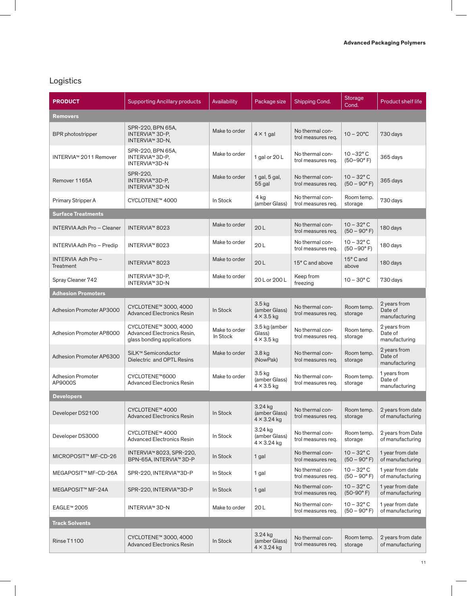# Logistics

| <b>PRODUCT</b>                      | <b>Supporting Ancillary products</b>                                               | Availability              | Package size                                     | Shipping Cond.                        | Storage<br>Cond.                             | <b>Product shelf life</b>                |
|-------------------------------------|------------------------------------------------------------------------------------|---------------------------|--------------------------------------------------|---------------------------------------|----------------------------------------------|------------------------------------------|
| Removers                            |                                                                                    |                           |                                                  |                                       |                                              |                                          |
| <b>BPR</b> photostripper            | SPR-220, BPN 65A,<br>INTERVIA™ 3D-P,<br>INTERVIA™ 3D-N,                            | Make to order             | $4 \times 1$ gal                                 | No thermal con-<br>trol measures reg. | $10 - 20^{\circ}$ C                          | 730 days                                 |
| INTERVIA™ 2011 Remover              | SPR-220, BPN 65A,<br>INTERVIA™ 3D-P,<br><b>INTERVIA™3D-N</b>                       | Make to order             | 1 gal or 20 L                                    | No thermal con-<br>trol measures req. | $10 - 32$ °C<br>$(50-90° F)$                 | 365 days                                 |
| Remover 1165A                       | SPR-220,<br>INTERVIA™3D-P,<br><b>INTERVIA™ 3D-N</b>                                | Make to order             | 1 gal, 5 gal,<br>55 gal                          | No thermal con-<br>trol measures req. | $10 - 32$ °C<br>$(50 - 90^{\circ} F)$        | 365 days                                 |
| Primary Stripper A                  | CYCLOTENE™ 4000                                                                    | In Stock                  | 4 kg<br>(amber Glass)                            | No thermal con-<br>trol measures req. | Room temp.<br>storage                        | 730 days                                 |
| <b>Surface Treatments</b>           |                                                                                    |                           |                                                  |                                       |                                              |                                          |
| <b>INTERVIA Adh Pro - Cleaner</b>   | <b>INTERVIA™ 8023</b>                                                              | Make to order             | 20L                                              | No thermal con-<br>trol measures req. | $10 - 32$ °C<br>$(50 - 90^{\circ} F)$        | 180 days                                 |
| INTERVIA Adh Pro - Predip           | INTERVIA™ 8023                                                                     | Make to order             | 20L                                              | No thermal con-<br>trol measures req. | $10 - 32^{\circ}$ C<br>$(50 - 90^{\circ} F)$ | 180 days                                 |
| INTERVIA Adh Pro-<br>Treatment      | <b>INTERVIA™ 8023</b>                                                              | Make to order             | 20L                                              | 15° C and above                       | 15° C and<br>above                           | 180 days                                 |
| Spray Cleaner 742                   | INTERVIA™ 3D-P,<br><b>INTERVIA™ 3D-N</b>                                           | Make to order             | 20 L or 200 L                                    | Keep from<br>freezing                 | $10 - 30^{\circ}$ C                          | 730 days                                 |
| <b>Adhesion Promoters</b>           |                                                                                    |                           |                                                  |                                       |                                              |                                          |
| Adhesion Promoter AP3000            | CYCLOTENE™ 3000, 4000<br><b>Advanced Electronics Resin</b>                         | In Stock                  | $3.5$ kg<br>(amber Glass)<br>$4 \times 3.5$ kg   | No thermal con-<br>trol measures req. | Room temp.<br>storage                        | 2 years from<br>Date of<br>manufacturing |
| Adhesion Promoter AP8000            | CYCLOTENE™ 3000, 4000<br>Advanced Electronics Resin,<br>glass bonding applications | Make to order<br>In Stock | 3.5 kg (amber<br>Glass)<br>$4 \times 3.5$ kg     | No thermal con-<br>trol measures req. | Room temp.<br>storage                        | 2 years from<br>Date of<br>manufacturing |
| Adhesion Promoter AP6300            | SiLK <sup>™</sup> Semiconductor<br>Dielectric and OPTL Resins                      | Make to order             | $3.8$ kg<br>(NowPak)                             | No thermal con-<br>trol measures req. | Room temp.<br>storage                        | 2 years from<br>Date of<br>manufacturing |
| <b>Adhesion Promoter</b><br>AP9000S | CYCLOTENE™6000<br><b>Advanced Electronics Resin</b>                                | Make to order             | $3.5$ kg<br>(amber Glass)<br>$4 \times 3.5$ kg   | No thermal con-<br>trol measures req. | Room temp.<br>storage                        | 1 years from<br>Date of<br>manufacturing |
| <b>Developers</b>                   |                                                                                    |                           |                                                  |                                       |                                              |                                          |
| Developer DS2100                    | CYCLOTENE™ 4000<br><b>Advanced Electronics Resin</b>                               | In Stock                  | 3.24 kg<br>(amber Glass)<br>$4 \times 3.24$ kg   | No thermal con-<br>trol measures req. | Room temp.<br>storage                        | 2 years from date<br>of manufacturing    |
| Developer DS3000                    | CYCLOTENE™ 4000<br><b>Advanced Electronics Resin</b>                               | In Stock                  | 3.24 kg<br>(amber Glass)<br>$4 \times 3.24$ kg   | No thermal con-<br>trol measures req. | Room temp.<br>storage                        | 2 years from Date<br>of manufacturing    |
| MICROPOSIT™ MF-CD-26                | INTERVIA™ 8023, SPR-220,<br>BPN-65A, INTERVIA™ 3D-P                                | In Stock                  | 1 gal                                            | No thermal con-<br>trol measures req. | $10 - 32$ °C<br>$(50 - 90^{\circ} F)$        | 1 year from date<br>of manufacturing     |
| MEGAPOSIT™ MF-CD-26A                | SPR-220, INTERVIA™3D-P                                                             | In Stock                  | 1 gal                                            | No thermal con-<br>trol measures req. | $10 - 32^{\circ}$ C<br>$(50 - 90^{\circ} F)$ | 1 year from date<br>of manufacturing     |
| MEGAPOSIT™ MF-24A                   | SPR-220, INTERVIA™3D-P                                                             | In Stock                  | 1 gal                                            | No thermal con-<br>trol measures req. | $10 - 32^{\circ}$ C<br>$(50-90° F)$          | 1 year from date<br>of manufacturing     |
| EAGLE™ 2005                         | <b>INTERVIA™ 3D-N</b>                                                              | Make to order             | 20L                                              | No thermal con-<br>trol measures req. | $10 - 32^{\circ}$ C<br>$(50 - 90^{\circ} F)$ | 1 year from date<br>of manufacturing     |
| <b>Track Solvents</b>               |                                                                                    |                           |                                                  |                                       |                                              |                                          |
| Rinse T1100                         | CYCLOTENE™ 3000, 4000<br><b>Advanced Electronics Resin</b>                         | In Stock                  | $3.24$ kg<br>(amber Glass)<br>$4 \times 3.24$ kg | No thermal con-<br>trol measures req. | Room temp.<br>storage                        | 2 years from date<br>of manufacturing    |